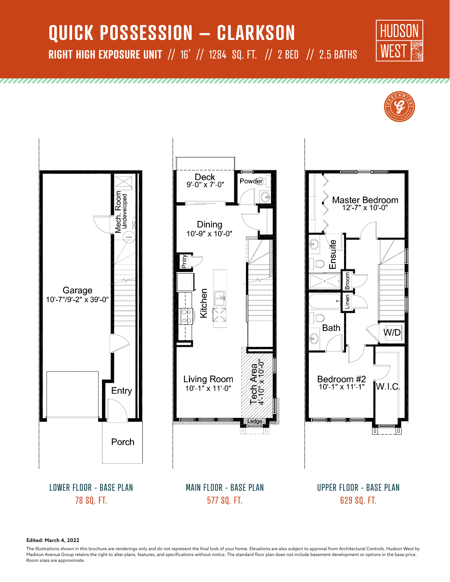# **QUICK POSSESSION – CLARKSON RIGHT HIGH EXPOSURE UNIT** // 16' // 1284 SQ. FT. // 2 BED // 2.5 BATHS







LOWER FLOOR - BASE PLAN 78 SQ. FT.





UPPER FLOOR - BASE PLAN 629 SQ. FT.

**Edited: March 4, 2022**

The Illustrations shown in this brochure are renderings only and do not represent the final look of your home. Elevations are also subject to approval from Architectural Controls. Hudson West by Madison Avenue Group retains the right to alter plans, features, and specifications without notice. The standard floor plan does not include basement development or options in the base price. Room sizes are approximate.

MAIN FLOOR - BASE PLAN 577 SQ. FT.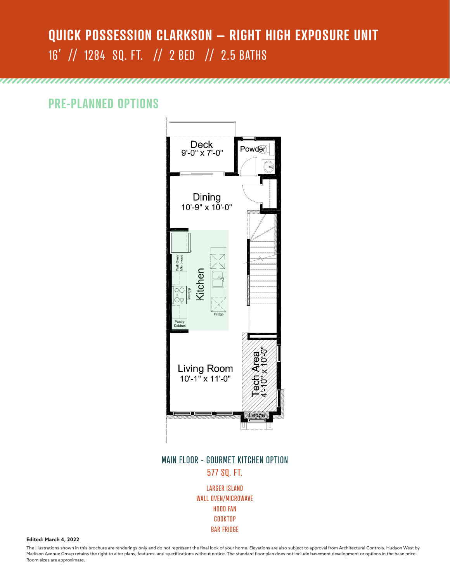## **QUICK POSSESSION CLARKSON – RIGHT HIGH EXPOSURE UNIT** 16' // 1284 SQ. FT. // 2 BED // 2.5 BATHS

### **PRE-PLANNED OPTIONS**



#### MAIN FLOOR - GOURMET KITCHEN OPTION 577 SQ. FT.

LARGER ISLAND WALL OVEN/MICROWAVE HOOD FAN COOKTOP BAR FRIDGE

**Edited: March 4, 2022**

The Illustrations shown in this brochure are renderings only and do not represent the final look of your home. Elevations are also subject to approval from Architectural Controls. Hudson West by Madison Avenue Group retains the right to alter plans, features, and specifications without notice. The standard floor plan does not include basement development or options in the base price. Room sizes are approximate.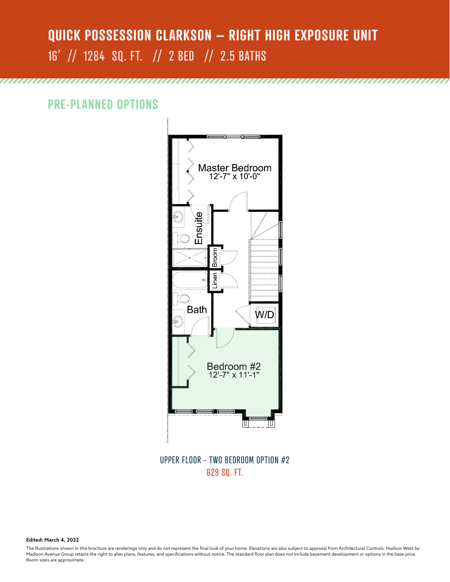# **QUICK POSSESSION CLARKSON – RIGHT HIGH EXPOSURE UNIT** 16' // 1284 SQ. FT. // 2 BED // 2.5 BATHS

**PRE-PLANNED OPTIONS**



UPPER FLOOR - TWO BEDROOM OPTION #2 629 SQ. FT.

**Edited: March 4, 2022**

The Illustrations shown in this brochure are renderings only and do not represent the final look of your home. Elevations are also subject to approval from Architectural Controls. Hudson West by Madison Avenue Group retains the right to alter plans, features, and specifications without notice. The standard floor plan does not include basement development or options in the base price. Room sizes are approximate.